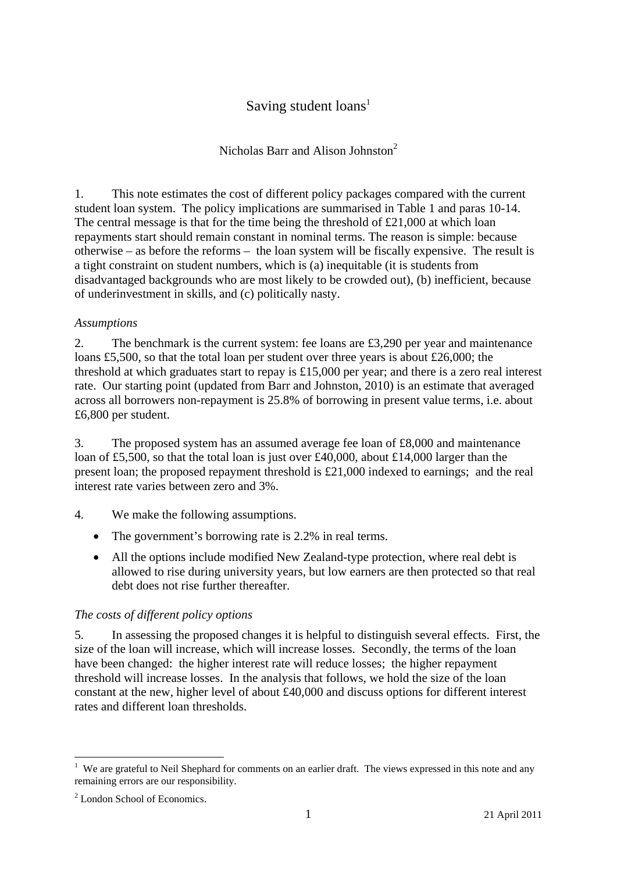# Saving student  $loans<sup>1</sup>$

# Nicholas Barr and Alison Johnston<sup>2</sup>

1. This note estimates the cost of different policy packages compared with the current student loan system. The policy implications are summarised in Table 1 and paras 10-14. The central message is that for the time being the threshold of £21,000 at which loan repayments start should remain constant in nominal terms. The reason is simple: because otherwise – as before the reforms – the loan system will be fiscally expensive. The result is a tight constraint on student numbers, which is (a) inequitable (it is students from disadvantaged backgrounds who are most likely to be crowded out), (b) inefficient, because of underinvestment in skills, and (c) politically nasty.

#### *Assumptions*

2. The benchmark is the current system: fee loans are £3,290 per year and maintenance loans £5,500, so that the total loan per student over three years is about £26,000; the threshold at which graduates start to repay is £15,000 per year; and there is a zero real interest rate. Our starting point (updated from Barr and Johnston, 2010) is an estimate that averaged across all borrowers non-repayment is 25.8% of borrowing in present value terms, i.e. about £6,800 per student.

3. The proposed system has an assumed average fee loan of £8,000 and maintenance loan of £5,500, so that the total loan is just over £40,000, about £14,000 larger than the present loan; the proposed repayment threshold is £21,000 indexed to earnings; and the real interest rate varies between zero and 3%.

- 4. We make the following assumptions.
	- The government's borrowing rate is 2.2% in real terms.
	- All the options include modified New Zealand-type protection, where real debt is allowed to rise during university years, but low earners are then protected so that real debt does not rise further thereafter.

## *The costs of different policy options*

5. In assessing the proposed changes it is helpful to distinguish several effects. First, the size of the loan will increase, which will increase losses. Secondly, the terms of the loan have been changed: the higher interest rate will reduce losses; the higher repayment threshold will increase losses. In the analysis that follows, we hold the size of the loan constant at the new, higher level of about £40,000 and discuss options for different interest rates and different loan thresholds.

1

<sup>&</sup>lt;sup>1</sup> We are grateful to Neil Shephard for comments on an earlier draft. The views expressed in this note and any remaining errors are our responsibility.

<sup>2</sup> London School of Economics.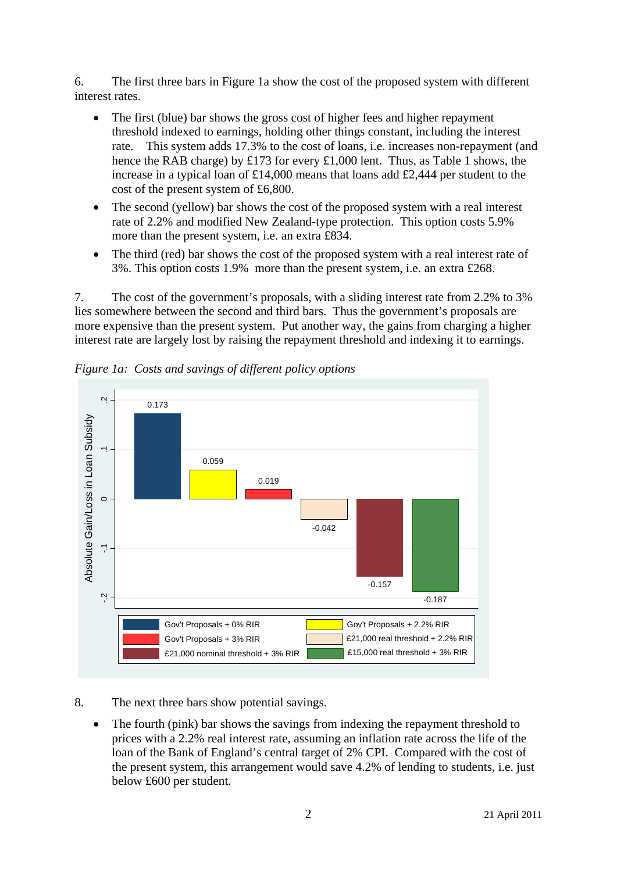6. The first three bars in Figure 1a show the cost of the proposed system with different interest rates.

- The first (blue) bar shows the gross cost of higher fees and higher repayment threshold indexed to earnings, holding other things constant, including the interest rate. This system adds 17.3% to the cost of loans, i.e. increases non-repayment (and hence the RAB charge) by £173 for every £1,000 lent. Thus, as Table 1 shows, the increase in a typical loan of £14,000 means that loans add £2,444 per student to the cost of the present system of £6,800.
- The second (yellow) bar shows the cost of the proposed system with a real interest rate of 2.2% and modified New Zealand-type protection. This option costs 5.9% more than the present system, i.e. an extra £834.
- The third (red) bar shows the cost of the proposed system with a real interest rate of 3%. This option costs 1.9% more than the present system, i.e. an extra £268.

7. The cost of the government's proposals, with a sliding interest rate from 2.2% to 3% lies somewhere between the second and third bars. Thus the government's proposals are more expensive than the present system. Put another way, the gains from charging a higher interest rate are largely lost by raising the repayment threshold and indexing it to earnings.



*Figure 1a: Costs and savings of different policy options* 

## 8. The next three bars show potential savings.

• The fourth (pink) bar shows the savings from indexing the repayment threshold to prices with a 2.2% real interest rate, assuming an inflation rate across the life of the loan of the Bank of England's central target of 2% CPI. Compared with the cost of the present system, this arrangement would save 4.2% of lending to students, i.e. just below £600 per student.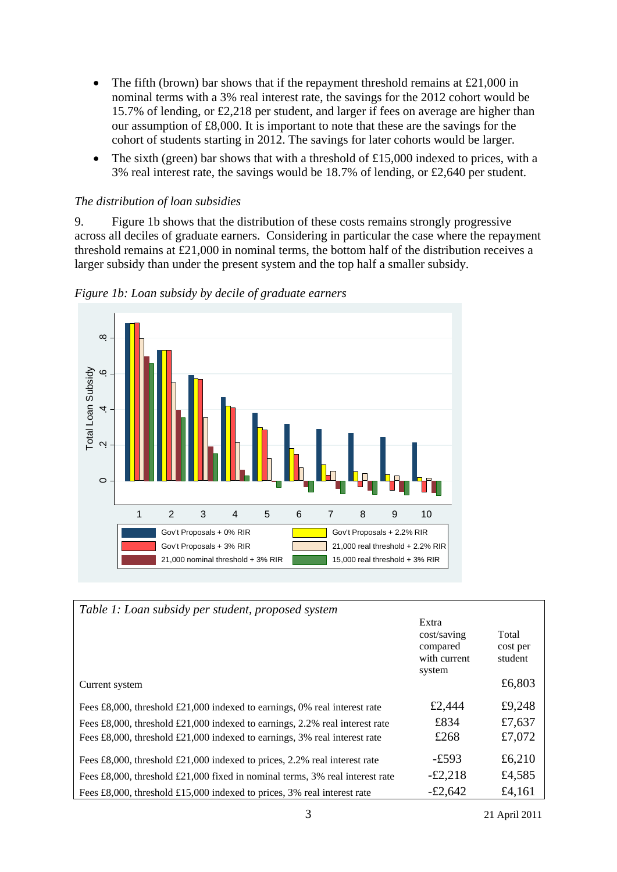- The fifth (brown) bar shows that if the repayment threshold remains at £21,000 in nominal terms with a 3% real interest rate, the savings for the 2012 cohort would be 15.7% of lending, or £2,218 per student, and larger if fees on average are higher than our assumption of £8,000. It is important to note that these are the savings for the cohort of students starting in 2012. The savings for later cohorts would be larger.
- The sixth (green) bar shows that with a threshold of £15,000 indexed to prices, with a 3% real interest rate, the savings would be 18.7% of lending, or £2,640 per student.

#### *The distribution of loan subsidies*

9. Figure 1b shows that the distribution of these costs remains strongly progressive across all deciles of graduate earners. Considering in particular the case where the repayment threshold remains at £21,000 in nominal terms, the bottom half of the distribution receives a larger subsidy than under the present system and the top half a smaller subsidy.



*Figure 1b: Loan subsidy by decile of graduate earners* 

| Table 1: Loan subsidy per student, proposed system                                             |                                                            |                              |
|------------------------------------------------------------------------------------------------|------------------------------------------------------------|------------------------------|
|                                                                                                | Extra<br>cost/saving<br>compared<br>with current<br>system | Total<br>cost per<br>student |
| Current system                                                                                 |                                                            | £6,803                       |
| Fees £8,000, threshold £21,000 indexed to earnings, 0% real interest rate                      | £2,444                                                     | £9,248                       |
| Fees $\pounds 8,000$ , threshold $\pounds 21,000$ indexed to earnings, 2.2% real interest rate | £834                                                       | £7,637                       |
| Fees £8,000, threshold £21,000 indexed to earnings, $3\%$ real interest rate                   | £268                                                       | £7,072                       |
| Fees £8,000, threshold £21,000 indexed to prices, 2.2% real interest rate                      | $-£593$                                                    | £6,210                       |
| Fees £8,000, threshold £21,000 fixed in nominal terms, $3\%$ real interest rate                | $-\pounds2,218$                                            | £4,585                       |
| Fees £8,000, threshold £15,000 indexed to prices, 3% real interest rate                        | $-£2,642$                                                  | £4,161                       |